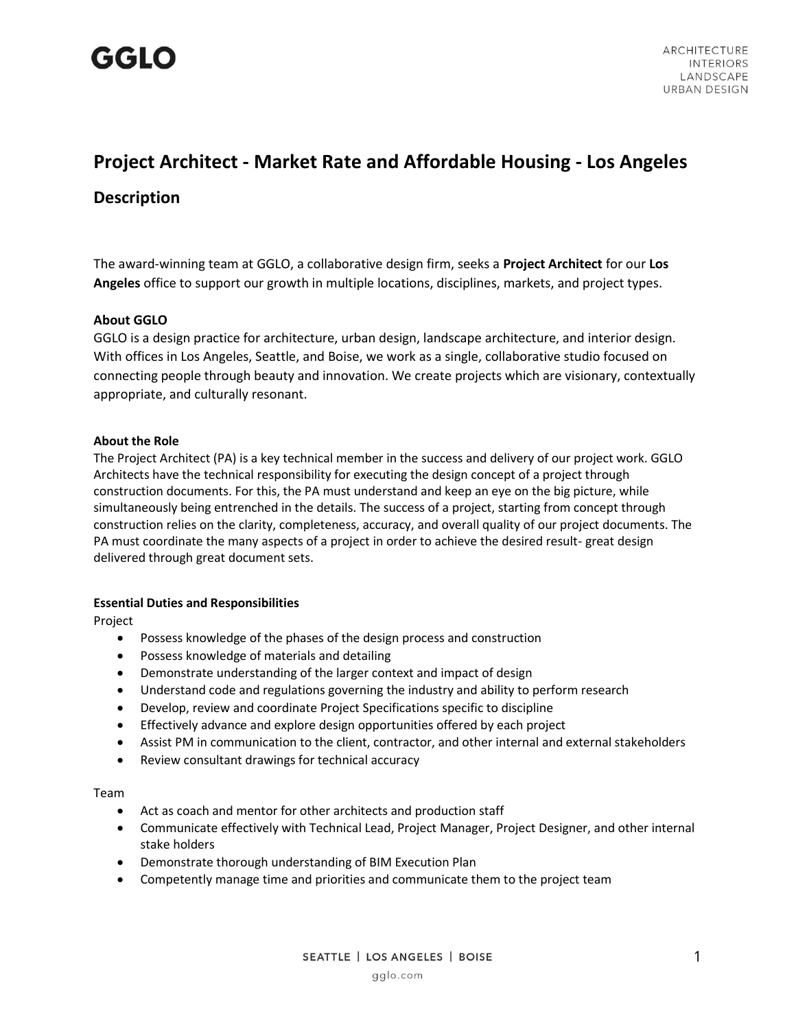

### **Project Architect - Market Rate and Affordable Housing - Los Angeles**

### **Description**

The award-winning team at GGLO, a collaborative design firm, seeks a **Project Architect** for our **Los Angeles** office to support our growth in multiple locations, disciplines, markets, and project types.

### **About GGLO**

GGLO is a design practice for architecture, urban design, landscape architecture, and interior design. With offices in Los Angeles, Seattle, and Boise, we work as a single, collaborative studio focused on connecting people through beauty and innovation. We create projects which are visionary, contextually appropriate, and culturally resonant.

### **About the Role**

The Project Architect (PA) is a key technical member in the success and delivery of our project work. GGLO Architects have the technical responsibility for executing the design concept of a project through construction documents. For this, the PA must understand and keep an eye on the big picture, while simultaneously being entrenched in the details. The success of a project, starting from concept through construction relies on the clarity, completeness, accuracy, and overall quality of our project documents. The PA must coordinate the many aspects of a project in order to achieve the desired result- great design delivered through great document sets.

### **Essential Duties and Responsibilities**

Project

- Possess knowledge of the phases of the design process and construction
- Possess knowledge of materials and detailing
- Demonstrate understanding of the larger context and impact of design
- Understand code and regulations governing the industry and ability to perform research
- Develop, review and coordinate Project Specifications specific to discipline
- Effectively advance and explore design opportunities offered by each project
- Assist PM in communication to the client, contractor, and other internal and external stakeholders
- Review consultant drawings for technical accuracy

### Team

- Act as coach and mentor for other architects and production staff
- Communicate effectively with Technical Lead, Project Manager, Project Designer, and other internal stake holders
- Demonstrate thorough understanding of BIM Execution Plan
- Competently manage time and priorities and communicate them to the project team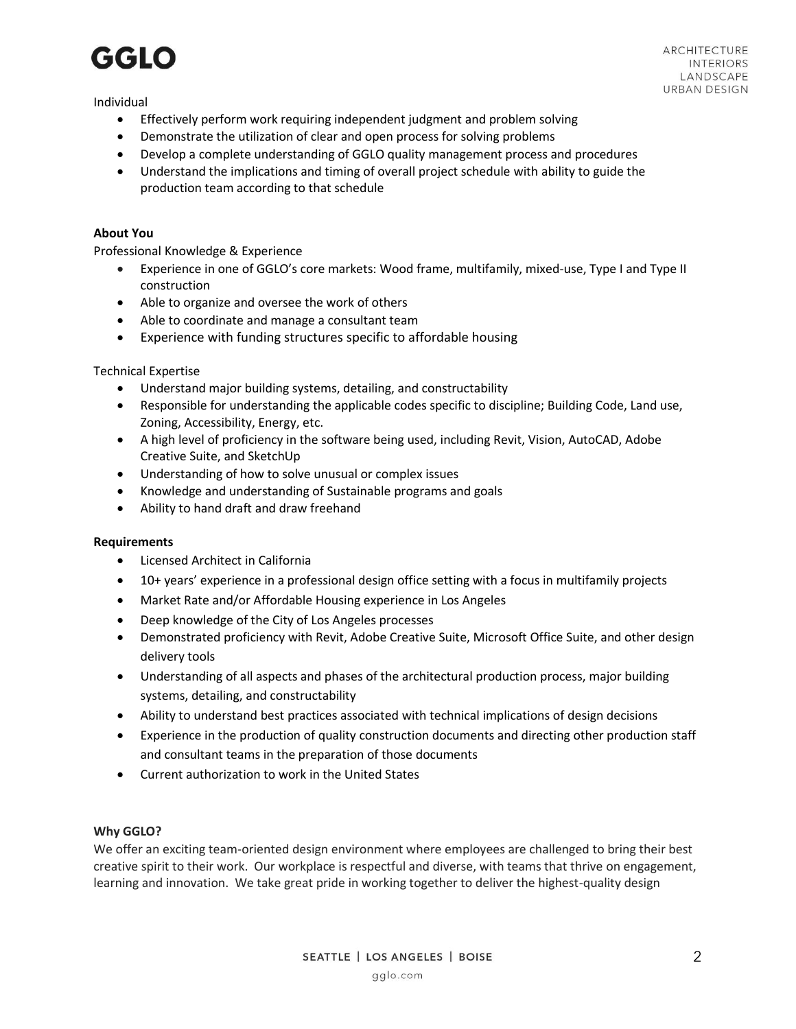## GGLO

Individual

- Effectively perform work requiring independent judgment and problem solving
- Demonstrate the utilization of clear and open process for solving problems
- Develop a complete understanding of GGLO quality management process and procedures
- Understand the implications and timing of overall project schedule with ability to guide the production team according to that schedule

### **About You**

Professional Knowledge & Experience

- Experience in one of GGLO's core markets: Wood frame, multifamily, mixed-use, Type I and Type II construction
- Able to organize and oversee the work of others
- Able to coordinate and manage a consultant team
- Experience with funding structures specific to affordable housing

### Technical Expertise

- Understand major building systems, detailing, and constructability
- Responsible for understanding the applicable codes specific to discipline; Building Code, Land use, Zoning, Accessibility, Energy, etc.
- A high level of proficiency in the software being used, including Revit, Vision, AutoCAD, Adobe Creative Suite, and SketchUp
- Understanding of how to solve unusual or complex issues
- Knowledge and understanding of Sustainable programs and goals
- Ability to hand draft and draw freehand

### **Requirements**

- Licensed Architect in California
- 10+ years' experience in a professional design office setting with a focus in multifamily projects
- Market Rate and/or Affordable Housing experience in Los Angeles
- Deep knowledge of the City of Los Angeles processes
- Demonstrated proficiency with Revit, Adobe Creative Suite, Microsoft Office Suite, and other design delivery tools
- Understanding of all aspects and phases of the architectural production process, major building systems, detailing, and constructability
- Ability to understand best practices associated with technical implications of design decisions
- Experience in the production of quality construction documents and directing other production staff and consultant teams in the preparation of those documents
- Current authorization to work in the United States

### **Why GGLO?**

We offer an exciting team-oriented design environment where employees are challenged to bring their best creative spirit to their work. Our workplace is respectful and diverse, with teams that thrive on engagement, learning and innovation. We take great pride in working together to deliver the highest-quality design